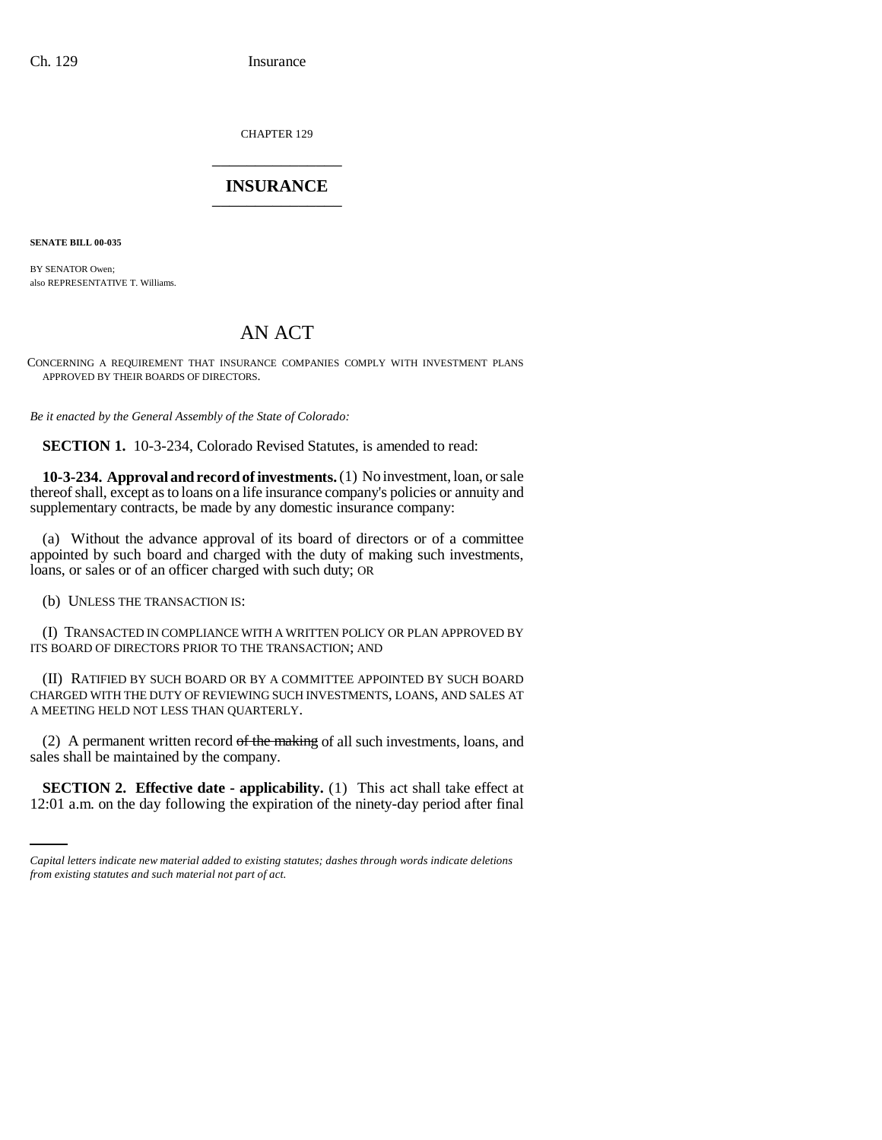CHAPTER 129 \_\_\_\_\_\_\_\_\_\_\_\_\_\_\_

## **INSURANCE** \_\_\_\_\_\_\_\_\_\_\_\_\_\_\_

**SENATE BILL 00-035** 

BY SENATOR Owen; also REPRESENTATIVE T. Williams.

## AN ACT

CONCERNING A REQUIREMENT THAT INSURANCE COMPANIES COMPLY WITH INVESTMENT PLANS APPROVED BY THEIR BOARDS OF DIRECTORS.

*Be it enacted by the General Assembly of the State of Colorado:*

**SECTION 1.** 10-3-234, Colorado Revised Statutes, is amended to read:

**10-3-234. Approval and record of investments.** (1) No investment, loan, or sale thereof shall, except as to loans on a life insurance company's policies or annuity and supplementary contracts, be made by any domestic insurance company:

(a) Without the advance approval of its board of directors or of a committee appointed by such board and charged with the duty of making such investments, loans, or sales or of an officer charged with such duty; OR

(b) UNLESS THE TRANSACTION IS:

(I) TRANSACTED IN COMPLIANCE WITH A WRITTEN POLICY OR PLAN APPROVED BY ITS BOARD OF DIRECTORS PRIOR TO THE TRANSACTION; AND

(II) RATIFIED BY SUCH BOARD OR BY A COMMITTEE APPOINTED BY SUCH BOARD CHARGED WITH THE DUTY OF REVIEWING SUCH INVESTMENTS, LOANS, AND SALES AT A MEETING HELD NOT LESS THAN QUARTERLY.

sales shall be maintained by the company. (2) A permanent written record  $of$  the making of all such investments, loans, and

**SECTION 2. Effective date - applicability.** (1) This act shall take effect at 12:01 a.m. on the day following the expiration of the ninety-day period after final

*Capital letters indicate new material added to existing statutes; dashes through words indicate deletions from existing statutes and such material not part of act.*